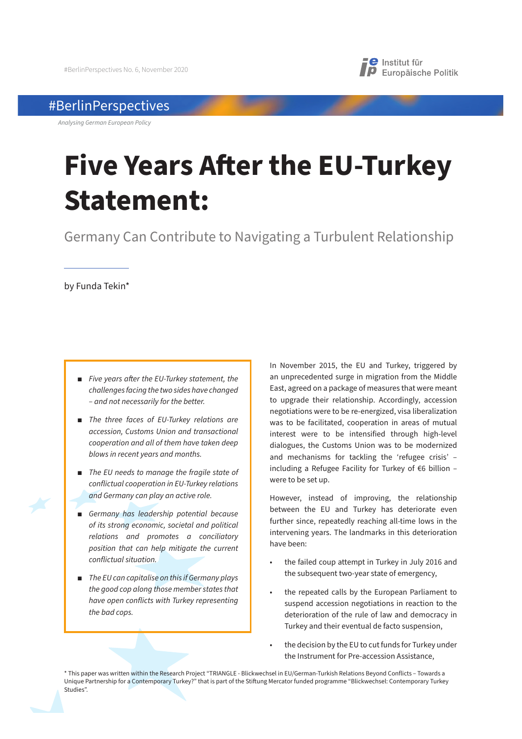

# #BerlinPerspectives

*Analysing German European Policy*

# **Five Years A!er the EU-Turkey Statement:**

Germany Can Contribute to Navigating a Turbulent Relationship

by Funda Tekin\*

- **Five years after the EU-Turkey statement, the** *challenges facing the two sides have changed – and not necessarily for the better.*
- *The three faces of EU-Turkey relations are accession, Customs Union and transactional cooperation and all of them have taken deep blows in recent years and months.*
- *The EU needs to manage the fragile state of conflictual cooperation in EU-Turkey relations and Germany can play an active role.*
- **B** Germany has leadership potential because *of its strong economic, societal and political relations and promotes a conciliatory position that can help mitigate the current conflictual situation.*
- *The EU can capitalise on this if Germany plays the good cop along those member states that have open conflicts with Turkey representing the bad cops.*

In November 2015, the EU and Turkey, triggered by an unprecedented surge in migration from the Middle East, agreed on a package of measures that were meant to upgrade their relationship. Accordingly, accession negotiations were to be re-energized, visa liberalization was to be facilitated, cooperation in areas of mutual interest were to be intensified through high-level dialogues, the Customs Union was to be modernized and mechanisms for tackling the 'refugee crisis' – including a Refugee Facility for Turkey of €6 billion – were to be set up.

However, instead of improving, the relationship between the EU and Turkey has deteriorate even further since, repeatedly reaching all-time lows in the intervening years. The landmarks in this deterioration have been:

- the failed coup attempt in Turkey in July 2016 and the subsequent two-year state of emergency,
- the repeated calls by the European Parliament to suspend accession negotiations in reaction to the deterioration of the rule of law and democracy in Turkey and their eventual de facto suspension,
- the decision by the EU to cut funds for Turkey under the Instrument for Pre-accession Assistance,

\* This paper was written within the Research Project "TRIANGLE - Blickwechsel in EU/German-Turkish Relations Beyond Conflicts – Towards a Unique Partnership for a Contemporary Turkey?" that is part of the Stiftung Mercator funded programme "Blickwechsel: Contemporary Turkey Studies".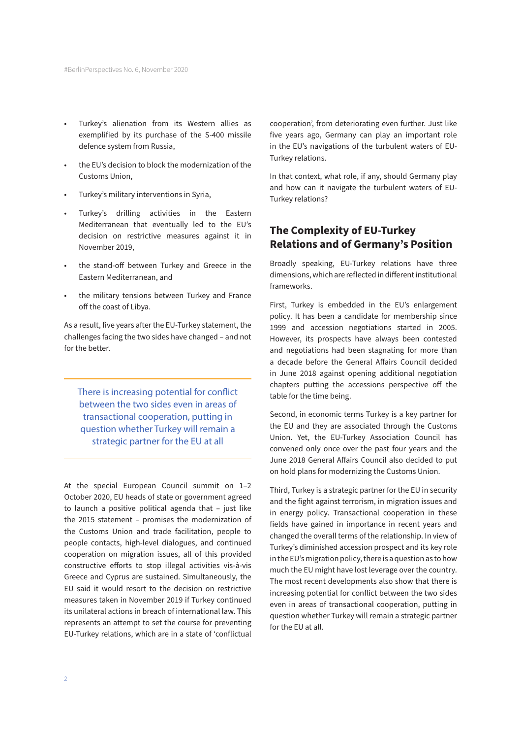- Turkey's alienation from its Western allies as exemplified by its purchase of the S-400 missile defence system from Russia,
- the EU's decision to block the modernization of the Customs Union,
- Turkey's military interventions in Syria,
- Turkey's drilling activities in the Eastern Mediterranean that eventually led to the EU's decision on restrictive measures against it in November 2019,
- the stand-off between Turkey and Greece in the Eastern Mediterranean, and
- the military tensions between Turkey and France off the coast of Libya.

As a result, five years after the EU-Turkey statement, the challenges facing the two sides have changed – and not for the better.

There is increasing potential for conflict between the two sides even in areas of transactional cooperation, putting in question whether Turkey will remain a strategic partner for the EU at all

At the special European Council summit on 1–2 October 2020, EU heads of state or government agreed to launch a positive political agenda that – just like the 2015 statement – promises the modernization of the Customs Union and trade facilitation, people to people contacts, high-level dialogues, and continued cooperation on migration issues, all of this provided constructive efforts to stop illegal activities vis-à-vis Greece and Cyprus are sustained. Simultaneously, the EU said it would resort to the decision on restrictive measures taken in November 2019 if Turkey continued its unilateral actions in breach of international law. This represents an attempt to set the course for preventing EU-Turkey relations, which are in a state of 'conflictual

cooperation', from deteriorating even further. Just like five years ago, Germany can play an important role in the EU's navigations of the turbulent waters of EU-Turkey relations.

In that context, what role, if any, should Germany play and how can it navigate the turbulent waters of EU-Turkey relations?

### **The Complexity of EU-Turkey Relations and of Germany's Position**

Broadly speaking, EU-Turkey relations have three dimensions, which are reflected in different institutional frameworks.

First, Turkey is embedded in the EU's enlargement policy. It has been a candidate for membership since 1999 and accession negotiations started in 2005. However, its prospects have always been contested and negotiations had been stagnating for more than a decade before the General Affairs Council decided in June 2018 against opening additional negotiation chapters putting the accessions perspective off the table for the time being.

Second, in economic terms Turkey is a key partner for the EU and they are associated through the Customs Union. Yet, the EU-Turkey Association Council has convened only once over the past four years and the June 2018 General Affairs Council also decided to put on hold plans for modernizing the Customs Union.

Third, Turkey is a strategic partner for the EU in security and the fight against terrorism, in migration issues and in energy policy. Transactional cooperation in these fields have gained in importance in recent years and changed the overall terms of the relationship. In view of Turkey's diminished accession prospect and its key role in the EU's migration policy, there is a question as to how much the EU might have lost leverage over the country. The most recent developments also show that there is increasing potential for conflict between the two sides even in areas of transactional cooperation, putting in question whether Turkey will remain a strategic partner for the EU at all.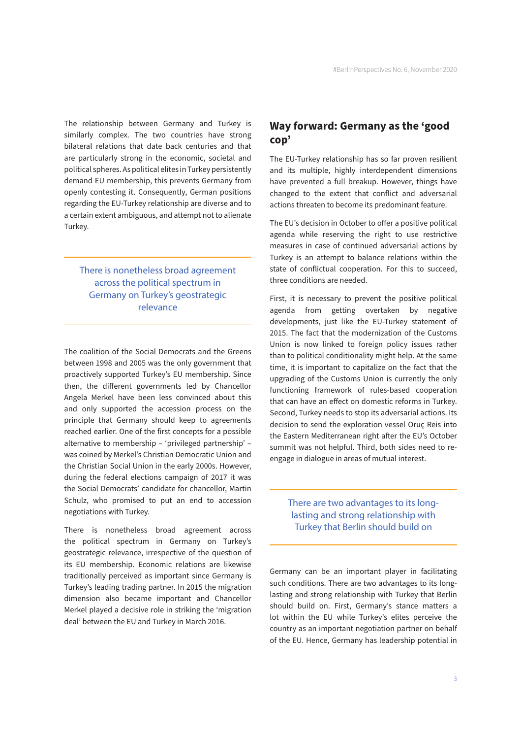The relationship between Germany and Turkey is similarly complex. The two countries have strong bilateral relations that date back centuries and that are particularly strong in the economic, societal and political spheres. As political elites in Turkey persistently demand EU membership, this prevents Germany from openly contesting it. Consequently, German positions regarding the EU-Turkey relationship are diverse and to a certain extent ambiguous, and attempt not to alienate Turkey.

There is nonetheless broad agreement across the political spectrum in Germany on Turkey's geostrategic relevance

The coalition of the Social Democrats and the Greens between 1998 and 2005 was the only government that proactively supported Turkey's EU membership. Since then, the different governments led by Chancellor Angela Merkel have been less convinced about this and only supported the accession process on the principle that Germany should keep to agreements reached earlier. One of the first concepts for a possible alternative to membership – 'privileged partnership' – was coined by Merkel's Christian Democratic Union and the Christian Social Union in the early 2000s. However, during the federal elections campaign of 2017 it was the Social Democrats' candidate for chancellor, Martin Schulz, who promised to put an end to accession negotiations with Turkey.

There is nonetheless broad agreement across the political spectrum in Germany on Turkey's geostrategic relevance, irrespective of the question of its EU membership. Economic relations are likewise traditionally perceived as important since Germany is Turkey's leading trading partner. In 2015 the migration dimension also became important and Chancellor Merkel played a decisive role in striking the 'migration deal' between the EU and Turkey in March 2016.

## **Way forward: Germany as the 'good cop'**

The EU-Turkey relationship has so far proven resilient and its multiple, highly interdependent dimensions have prevented a full breakup. However, things have changed to the extent that conflict and adversarial actions threaten to become its predominant feature.

The EU's decision in October to offer a positive political agenda while reserving the right to use restrictive measures in case of continued adversarial actions by Turkey is an attempt to balance relations within the state of conflictual cooperation. For this to succeed, three conditions are needed.

First, it is necessary to prevent the positive political agenda from getting overtaken by negative developments, just like the EU-Turkey statement of 2015. The fact that the modernization of the Customs Union is now linked to foreign policy issues rather than to political conditionality might help. At the same time, it is important to capitalize on the fact that the upgrading of the Customs Union is currently the only functioning framework of rules-based cooperation that can have an effect on domestic reforms in Turkey. Second, Turkey needs to stop its adversarial actions. Its decision to send the exploration vessel Oruç Reis into the Eastern Mediterranean right after the EU's October summit was not helpful. Third, both sides need to reengage in dialogue in areas of mutual interest.

There are two advantages to its longlasting and strong relationship with Turkey that Berlin should build on

Germany can be an important player in facilitating such conditions. There are two advantages to its longlasting and strong relationship with Turkey that Berlin should build on. First, Germany's stance matters a lot within the EU while Turkey's elites perceive the country as an important negotiation partner on behalf of the EU. Hence, Germany has leadership potential in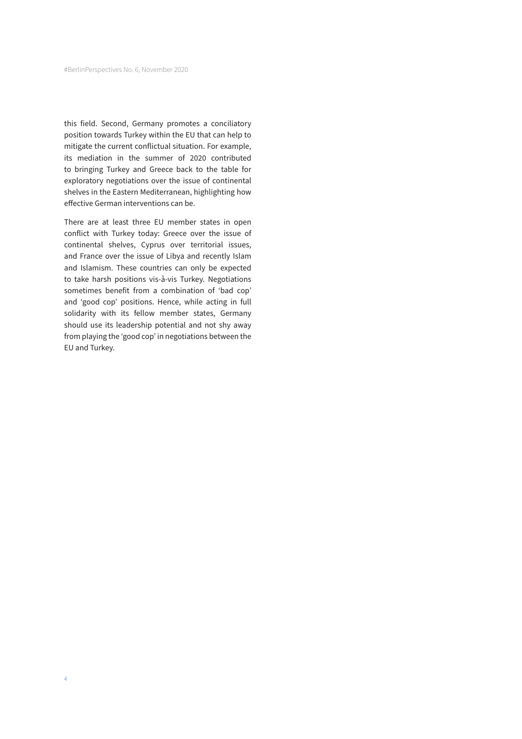this field. Second, Germany promotes a conciliatory position towards Turkey within the EU that can help to mitigate the current conflictual situation. For example, its mediation in the summer of 2020 contributed to bringing Turkey and Greece back to the table for exploratory negotiations over the issue of continental shelves in the Eastern Mediterranean, highlighting how effective German interventions can be.

There are at least three EU member states in open conflict with Turkey today: Greece over the issue of continental shelves, Cyprus over territorial issues, and France over the issue of Libya and recently Islam and Islamism. These countries can only be expected to take harsh positions vis-à-vis Turkey. Negotiations sometimes benefit from a combination of 'bad cop' and 'good cop' positions. Hence, while acting in full solidarity with its fellow member states, Germany should use its leadership potential and not shy away from playing the 'good cop' in negotiations between the EU and Turkey.